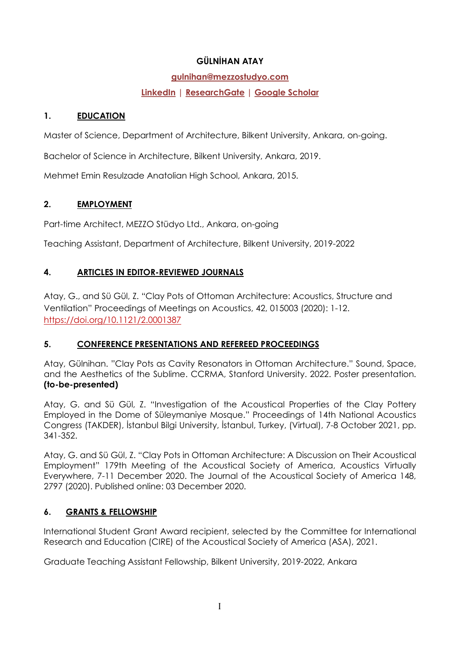## GÜLNİHAN ATAY

#### gulnihan@mezzostudyo.com

# LinkedIn | ResearchGate | Google Scholar

#### 1. EDUCATION

Master of Science, Department of Architecture, Bilkent University, Ankara, on-going.

Bachelor of Science in Architecture, Bilkent University, Ankara, 2019.

Mehmet Emin Resulzade Anatolian High School, Ankara, 2015.

## 2. EMPLOYMENT

Part-time Architect, MEZZO Stüdyo Ltd., Ankara, on-going

Teaching Assistant, Department of Architecture, Bilkent University, 2019-2022

## 4. ARTICLES IN EDITOR-REVIEWED JOURNALS

Atay, G., and Sü Gül, Z. "Clay Pots of Ottoman Architecture: Acoustics, Structure and Ventilation" Proceedings of Meetings on Acoustics, 42, 015003 (2020): 1-12. https://doi.org/10.1121/2.0001387

# 5. CONFERENCE PRESENTATIONS AND REFEREED PROCEEDINGS

Atay, Gülnihan. "Clay Pots as Cavity Resonators in Ottoman Architecture." Sound, Space, and the Aesthetics of the Sublime. CCRMA, Stanford University. 2022. Poster presentation. (to-be-presented)

Atay, G. and Sü Gül, Z. "Investigation of the Acoustical Properties of the Clay Pottery Employed in the Dome of Süleymaniye Mosque." Proceedings of 14th National Acoustics Congress (TAKDER), İstanbul Bilgi University, İstanbul, Turkey, (Virtual), 7-8 October 2021, pp. 341-352.

Atay, G. and Sü Gül, Z. "Clay Pots in Ottoman Architecture: A Discussion on Their Acoustical Employment" 179th Meeting of the Acoustical Society of America, Acoustics Virtually Everywhere, 7-11 December 2020. The Journal of the Acoustical Society of America 148, 2797 (2020). Published online: 03 December 2020.

# 6. GRANTS & FELLOWSHIP

International Student Grant Award recipient, selected by the Committee for International Research and Education (CIRE) of the Acoustical Society of America (ASA), 2021.

Graduate Teaching Assistant Fellowship, Bilkent University, 2019-2022, Ankara